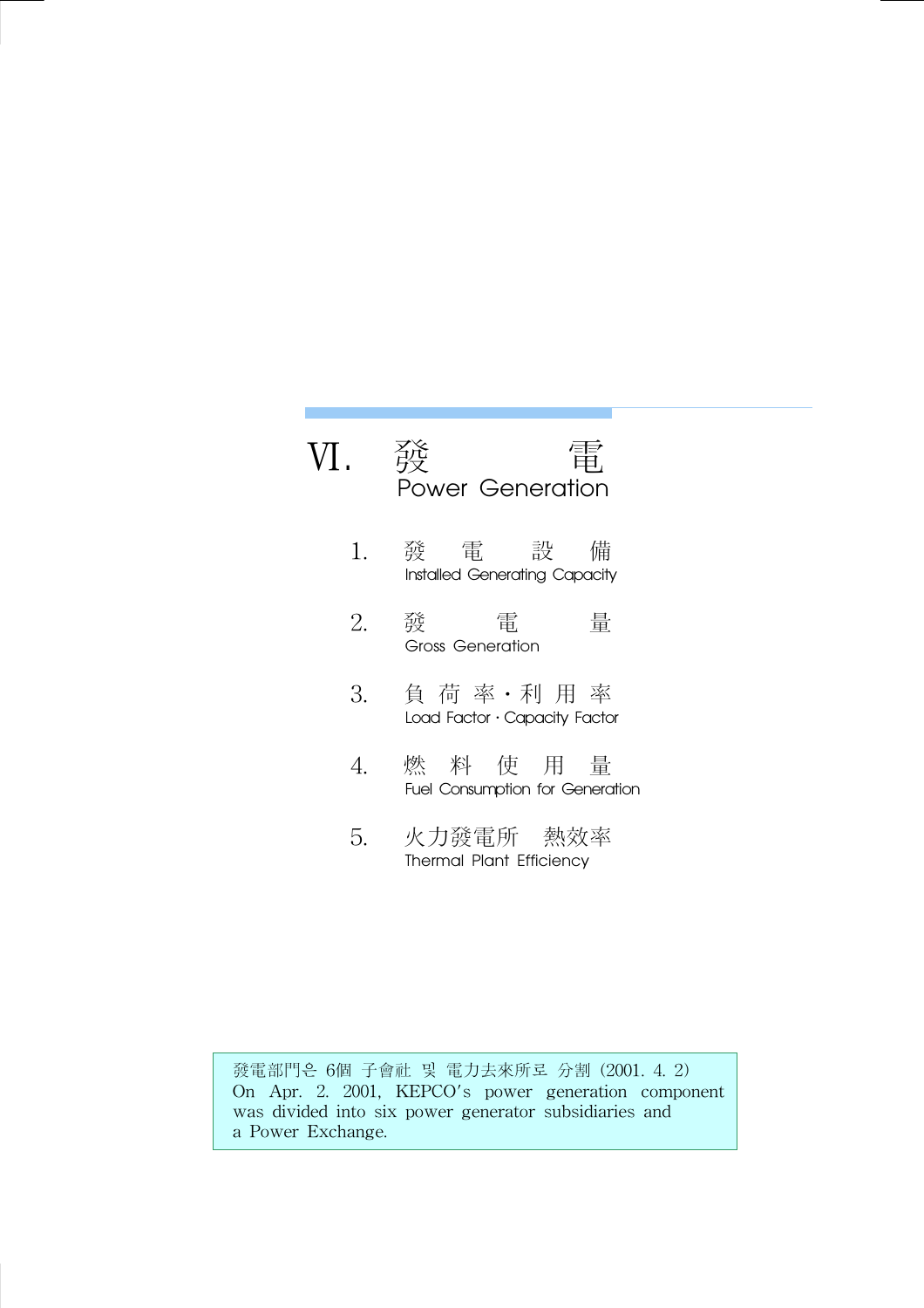## Ⅵ. 發 電 Power Generation

- 1. 發 電 設 備 Installed Generating Capacity
- 2. 發 電 量 Gross Generation
- 3. 負 荷 率․利 用 率 Load Factor · Capacity Factor
- 4. 燃 料 使 用 量 Fuel Consumption for Generation
- 5. 火力發電所 熱效率 Thermal Plant Efficiency

發電部門은 6個 子會社 및 電力去來所로 分割 (2001. 4. 2) On Apr. 2. 2001, KEPCO's power generation component was divided into six power generator subsidiaries and a Power Exchange.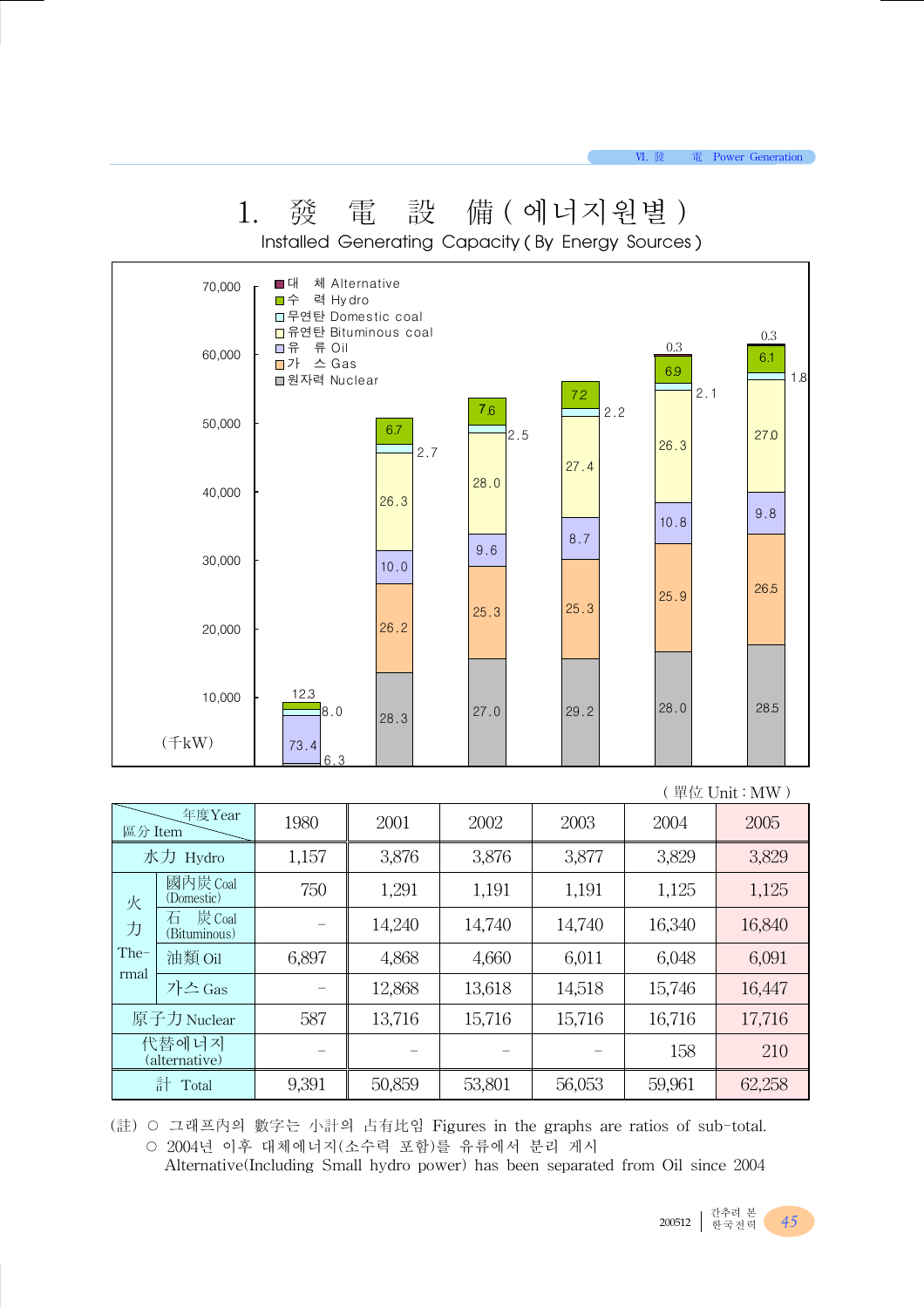VI. 發電 Power Generation

|         | Ī.                          | 赀                                    | 电<br>戓                               |                       | / /用 ( 엑 니 시 권 별 <i>)</i><br>Installed Generating Capacity (By Energy Sources) |                |                   |
|---------|-----------------------------|--------------------------------------|--------------------------------------|-----------------------|--------------------------------------------------------------------------------|----------------|-------------------|
|         | 70,000                      | ■ 대<br>口수<br>력 Hydro                 | 체 Alternative<br>□ 무연탄 Domestic coal |                       |                                                                                |                |                   |
|         | 60,000                      | □유 류 Oil<br>■가 스 Gas<br>■원자력 Nuclear | □ 유연탄 Bituminous coal                |                       |                                                                                | $0.3\,$<br>6.9 | 0.3<br>6.1<br>1.8 |
|         | 50,000                      |                                      | 6.7<br>2.7                           | 7 <sub>6</sub><br>2.5 | 72<br>2.2                                                                      | 2.1<br>26.3    | 27.0              |
|         | 40,000                      |                                      | 26.3                                 | 28.0                  | 27.4                                                                           |                |                   |
|         |                             |                                      |                                      |                       | 8.7                                                                            | 10.8           | 9.8               |
|         | 30,000                      |                                      | 10.0                                 | 9.6                   |                                                                                |                |                   |
|         | 20,000                      |                                      | 26.2                                 | 25.3                  | 25.3                                                                           | 25.9           | 26.5              |
|         | 10,000                      | 12.3<br>8.0                          | 28.3                                 | 27.0                  | 29.2                                                                           | 28.0           | 28.5              |
|         | $(\text{f}kW)$              | 73.4<br>63                           |                                      |                       |                                                                                |                |                   |
|         |                             |                                      |                                      |                       |                                                                                |                | (單位 Unit: MW)     |
| 區分 Item | 年度Year                      | 1980                                 | 2001                                 | 2002                  | 2003                                                                           | 2004           | 2005              |
|         | 水力 Hydro                    | 1,157                                | 3,876                                | 3,876                 | 3,877                                                                          | 3,829          | 3,829             |
| 火       | 國內炭 Coal<br>(Domestic)      | 750                                  | 1,291                                | 1,191                 | 1,191                                                                          | 1,125          | 1,125             |
| 力       | 炭 Coal<br>石<br>(Bituminous) |                                      | 14,240                               | 14,740                | 14,740                                                                         | 16,340         | 16,840            |
| The-    | 油類 Oil                      | 6,897                                | 4,868                                | 4,660                 | 6,011                                                                          | 6,048          | 6,091             |
| rmal    | 가스 Gas                      |                                      | 12,868                               | 13,618                | 14,518                                                                         | 15,746         | 16,447            |
|         | 原子力 Nuclear                 | 587                                  | 13,716                               | 15,716                | 15,716                                                                         | 16,716         | 17,716            |
|         | 代替에너지<br>(alternative)      |                                      |                                      |                       |                                                                                | 158            | 210               |

1. 孫 重 凯 借 ( 에너기 이버 )

(註) ○ 그래프內의 數字는 小計의 占有比임 Figures in the graphs are ratios of sub-total. ○ 2004년 이후 대체에너지(소수력 포함)를 유류에서 분리 게시

Alternative(Including Small hydro power) has been separated from Oil since 2004

計 Total | 9,391 | 50,859 | 53,801 | 56,053 | 59,961 | 62,258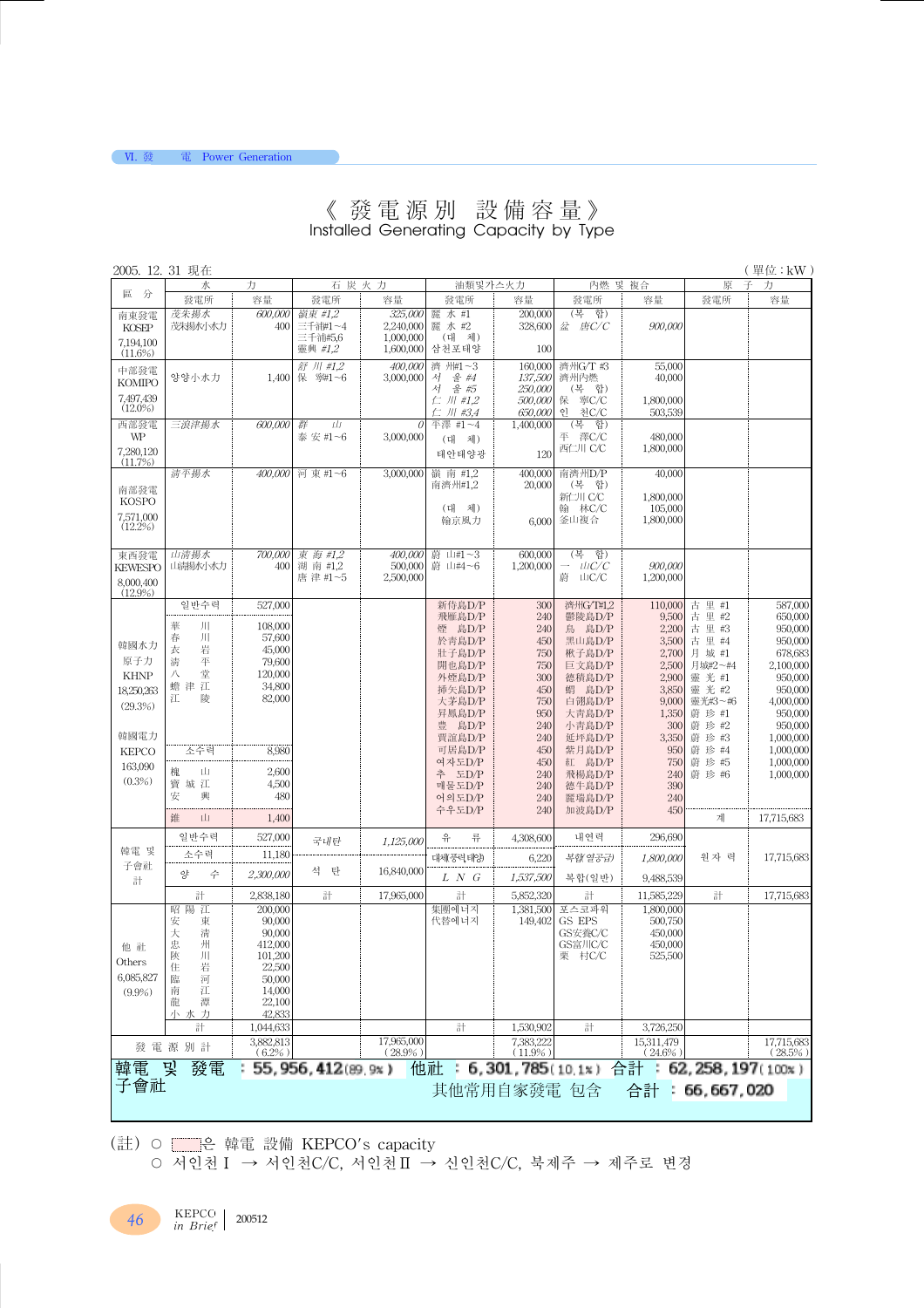#### 《 發電源別 設備容量》 Installed Generating Capacity by Type

| 2005. 12. 31 現在      |                  |                     |                      |                        |                      |                        |                   |                          |                    | (單位:kW)                  |
|----------------------|------------------|---------------------|----------------------|------------------------|----------------------|------------------------|-------------------|--------------------------|--------------------|--------------------------|
| 區<br>分               | 水                | 力                   |                      | 石炭火力                   | 油類및가스火力              |                        | 內燃 및 複合           |                          | 原                  | 子<br>力                   |
|                      | 發電所              | 容量                  | 發電所                  | 容量                     | 發電所                  | 容量                     | 發電所               | 容量                       | 發電所                | 容量                       |
| 南東發電                 | 茂朱楊水             | 600,000             | 嶺東 #1.2              | 325,000                | 麗<br>水 #1            | 200,000                | (복)<br>합)         |                          |                    |                          |
| KOSEP                | 茂朱揚水小水力          | 400                 | 三千浦#1~4              | 2,240,000              | 麗水#2                 | 328,600                | 盆 唐C/C            | 900,000                  |                    |                          |
| 7,194,100            |                  |                     | 三千浦#5,6<br>靈興 #1,2   | 1,000,000<br>1,600,000 | (대 체)<br>삼천포태양       | 100                    |                   |                          |                    |                          |
| $(11.6\%)$           |                  |                     |                      |                        |                      |                        |                   |                          |                    |                          |
| 中部發電                 | 양양小水力            | 1,400               | 舒 川 #1,2<br>保 寧#1~6  | 400,000<br>3,000,000   | 濟 州#1~3<br>울 #4<br>서 | 160,000<br>137,500     | 濟州G/T #3<br>濟州內燃  | 55,000<br>40,000         |                    |                          |
| <b>KOMIPO</b>        |                  |                     |                      |                        | & 45<br>서            | 250,000                | (복합)              |                          |                    |                          |
| 7.497,439            |                  |                     |                      |                        | $\subset$ /// #1.2   | 500,000                | 保 寧C/C            | 1,800,000                |                    |                          |
| $(12.0\%)$           |                  |                     |                      |                        | 仁 川 #3,4             | 650,000                | óJ.<br>천C/C       | 503,539                  |                    |                          |
| 西部發電                 | 三浪津揚水            | 600,000             | 群<br>Ш               | 0                      | 平澤 #1~4              | 1,400,000              | (복)<br>합)         |                          |                    |                          |
| WP                   |                  |                     | 泰 安 #1~6             | 3,000,000              | 체)<br>(대             |                        | 平 澤C/C<br>西仁川 C/C | 480,000                  |                    |                          |
| 7,280,120<br>(11.7%) |                  |                     |                      |                        | 태안태양광                | 120                    |                   | 1,800,000                |                    |                          |
|                      | 清平揚水             | 400,000             | 河 東 #1~6             | 3,000,000              | 嶺 南 #1.2             | 400,000                | 南濟州D/P            | 40,000                   |                    |                          |
| 南部發電                 |                  |                     |                      |                        | 南濟州#1,2              | 20,000                 | (복 합)             |                          |                    |                          |
| <b>KOSPO</b>         |                  |                     |                      |                        |                      |                        | 新仁川 C/C           | 1,800,000                |                    |                          |
| 7,571,000            |                  |                     |                      |                        | (대 체)                |                        | 林C/C<br>翰         | 105,000                  |                    |                          |
| (12.2%)              |                  |                     |                      |                        | 翰京風力                 | 6,000                  | 釜山複合              | 1,800,000                |                    |                          |
|                      |                  |                     |                      |                        |                      |                        |                   |                          |                    |                          |
| 東西發電                 | 山清揚水             | 700,000             | 東海 #1,2              | 400,000                | 蔚 山#1~3              | 600,000                | (복)<br>합)         |                          |                    |                          |
| <b>KEWESPO</b>       | 山清揚水小水力          | 400                 | 湖 南 #1,2             | 500,000                | 蔚 山#4~6              | 1,200,000              | $ \mu$ C/C        | 900,000                  |                    |                          |
| 8,000,400            |                  |                     | 唐津#1~5               | 2,500,000              |                      |                        | 蔚 山C/C            | 1,200,000                |                    |                          |
| $(12.9\%)$           |                  |                     |                      |                        |                      |                        |                   |                          |                    |                          |
|                      | 일반수력             | 527,000             |                      |                        | 新侍島D/P               | 300                    | 濟州G/T#1.2         | 110,000                  | 古里#1               | 587,000                  |
|                      | 華<br>ЛГ          | 108,000             |                      |                        | 飛雁島D/P<br>煙 島D/P     | 240<br>240             | 鬱陵島D/P<br>鳥 島D/P  | 9,500<br>2,200           | 古里#2<br>古里#3       | 650,000<br>950,000       |
|                      | ЛГ<br>春          | 57,600              |                      |                        | 於青島D/P               | 450                    | 黑山島D/P            | 3,500                    | 古 里 #4             | 950,000                  |
| 韓國水力                 | 岩<br>衣           | 45,000              |                      |                        | 壯子島D/P               | 750                    | 楸子島D/P            | 2,700                    | 月 城 #1             | 678,683                  |
| 原子力                  | 平<br>清           | 79,600              |                      |                        | 開也島D/P               | 750                    | 巨文島D/P            | 2,500                    | 月城#2~#4            | 2,100,000                |
| <b>KHNP</b>          | 堂<br>八           | 120,000             |                      |                        | 外煙島D/P               | 300                    | 德積島D/P            | 2,900                    | 靈光#1               | 950,000                  |
| 18,250,263           | 蟾津江<br>江<br>陵    | 34,800<br>82,000    |                      |                        | 插矢島D/P               | 450                    | 蝟 島D/P            | 3,850                    | 靈光#2               | 950,000                  |
| (29.3%)              |                  |                     |                      |                        | 大茅島D/P               | 750                    | 白翎島D/P            | 9,000                    | 靈光#3~#6            | 4,000,000                |
|                      |                  |                     |                      |                        | 昇鳳島D/P<br>豊 島D/P     | 950<br>240             | 大青島D/P<br>小青島D/P  | 1,350<br>300             | 蔚 珍 #1<br>蔚 珍 #2   | 950,000<br>950,000       |
| 韓國電力                 |                  |                     |                      |                        | 賈誼島D/P               | 240                    | 延坪島D/P            | 3,350                    | 蔚 珍 #3             | 1,000,000                |
| <b>KEPCO</b>         | 소수력              | 8,980               |                      |                        | 可居島D/P               | 450                    | 紫月島D/P            | 950                      | 蔚 珍 #4             | 1,000,000                |
| 163,090              |                  |                     |                      |                        | 여자도D/P               | 450                    | 紅 島D/P            | 750                      | 蔚 珍 #5             | 1,000,000                |
| (0.3%)               | 槐<br>Щ           | 2,600               |                      |                        | 추 도D/P               | 240                    | 飛楊島D/P            | 240                      | 蔚 珍 #6             | 1,000,000                |
|                      | 寶城江<br>安<br>興    | 4,500<br>480        |                      |                        | 매물도D/P               | 240                    | 德牛島D/P            | 390                      |                    |                          |
|                      |                  |                     |                      |                        | 어의도D/P<br>수우도D/P     | 240<br>240             | 麗瑞島D/P<br>加波島D/P  | 240<br>450               |                    |                          |
|                      | 錐<br>山           | 1,400               |                      |                        |                      |                        |                   |                          | 계                  | 17,715,683               |
|                      | 일반수력             | 527,000             |                      |                        | 유<br>류               | 4,308,600              | 내연력               | 296,690                  |                    |                          |
| 韓電 및                 |                  |                     | 국내탄                  | 1,125,000              |                      |                        |                   |                          |                    |                          |
| 子會社                  | 소수력              | 11,180              |                      |                        | 대체 풍력 태양             | 6,220                  | 복합(열공급)           | 1.800.000                | 원자 력               | 17,715,683               |
| 計                    | οþ<br>수          | 2,300,000           | 석<br>탄               | 16.840,000             | $L$ N $G$            | 1,537,500              | 복합(일반)            | 9,488,539                |                    |                          |
|                      | 計                | 2,838,180           | 計                    | 17,965,000             | 計                    | 5,852,320              | 計                 | 11,585,229               | 計                  | 17,715,683               |
|                      | 昭陽江              | 200,000             |                      |                        | 集團에너지                | 1,381,500              | 포스코파워             | 1,800,000                |                    |                          |
|                      | 東<br>安           | 90,000              |                      |                        | 代替에너지                | 149,402                | GS EPS            | 500,750                  |                    |                          |
|                      | 大<br>清           | 90,000              |                      |                        |                      |                        | GS安養C/C           | 450,000                  |                    |                          |
| 他社                   | 忠<br>州<br>陝<br>Л | 412,000<br>101,200  |                      |                        |                      |                        | GS富川C/C<br>栗 村C/C | 450,000<br>525,500       |                    |                          |
| Others               | 岩<br>任           | 22,500              |                      |                        |                      |                        |                   |                          |                    |                          |
| 6,085,827            | 臨<br>河           | 50,000              |                      |                        |                      |                        |                   |                          |                    |                          |
| $(9.9\%)$            | 江<br>南           | 14,000              |                      |                        |                      |                        |                   |                          |                    |                          |
|                      | 潭<br>龍           | 22,100              |                      |                        |                      |                        |                   |                          |                    |                          |
|                      | 小水力              | 42,833              |                      |                        |                      |                        |                   |                          |                    |                          |
|                      | 計                | 1,044,633           |                      | 17,965,000             | 計                    | 1,530,902<br>7.383.222 | 計                 | 3,726,250                |                    |                          |
|                      | 發電源別計            | 3,882,813<br>(6.2%) |                      | $(28.9\%)$             |                      | $(11.9\%)$             |                   | 15,311,479<br>$(24.6\%)$ |                    | 17,715,683<br>$(28.5\%)$ |
| 韓電                   | 發電<br>_ 및        |                     | 55, 956, 412(89, 9x) |                        | 他社                   | : 6,301,785(10,1x)     |                   | 合計                       | : 62,258,197(100x) |                          |
| 子會社                  |                  |                     |                      |                        |                      |                        |                   |                          |                    |                          |
|                      |                  |                     |                      |                        | 其他常用自家發電 包含          |                        |                   | 合計                       | 66,667,020         |                          |
|                      |                  |                     |                      |                        |                      |                        |                   |                          |                    |                          |

(註) ○ ■은 韓電 設備 KEPCO's capacity

○ 서인천Ⅰ → 서인천C/C, 서인천Ⅱ → 신인천C/C, 북제주 → 제주로 변경

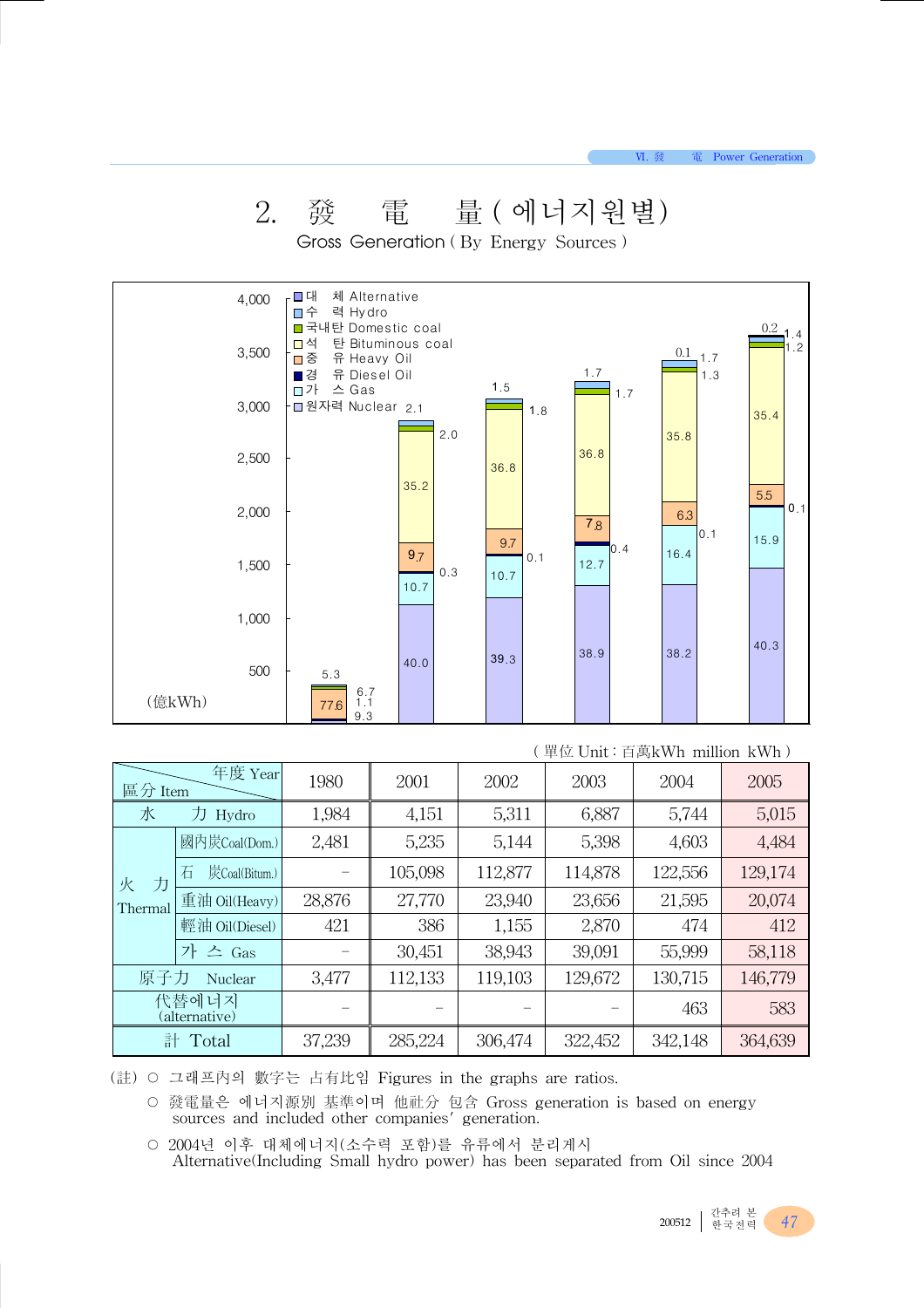## 2. 發 電 量 ( 에너지원별)

Gross Generation ( By Energy Sources )

| 체 Alternative<br>┌■대<br>□수 력 Hydro<br>■국내탄 Domestic coal<br>$0.2\,$<br>$\begin{array}{c} 1.4 \\ 1.2 \end{array}$<br>탄 Bituminous coal<br>$0.1$ 1.7<br>■중 유 Heavy Oil<br>1.7<br>■경 유 Diesel Oil<br>1.3<br>1.5<br>□가 스 Gas<br>1.7 |
|---------------------------------------------------------------------------------------------------------------------------------------------------------------------------------------------------------------------------------|
| ·□원자력 Nuclear 2.1<br>1.8<br>35.4                                                                                                                                                                                                |
| 2.0<br>35.8<br>36.8<br>36.8                                                                                                                                                                                                     |
| 5.5<br>0.1                                                                                                                                                                                                                      |
| 7.8                                                                                                                                                                                                                             |
| 15.9<br>9.7<br> 0.4<br>16.4<br>9.7<br>0.1<br>12.7<br>0.3<br>10.7                                                                                                                                                                |
|                                                                                                                                                                                                                                 |
| 40.3<br>38.2<br>38.9<br>39.3<br>40.0<br>5.3<br>$6.7$<br>1.1<br>77.6                                                                                                                                                             |
| 35.2<br>6.3<br> 0.1<br>10.7<br>9.3                                                                                                                                                                                              |

|                        |                    |        |         |         |         | - 里世 UIIIU · 日禺KWII IIIIIIIOII KWII / |         |
|------------------------|--------------------|--------|---------|---------|---------|---------------------------------------|---------|
| 年度 Year<br>區分 Item     |                    | 1980   | 2001    | 2002    | 2003    | 2004                                  | 2005    |
| 水<br>刀<br>Hydro        |                    | 1,984  | 4,151   | 5,311   | 6,887   | 5,744                                 | 5,015   |
|                        | 國內炭Coal(Dom.)      | 2,481  | 5,235   | 5,144   |         | 4,603                                 | 4,484   |
| 力<br>火                 | 石<br>炭Coal(Bitum.) |        | 105,098 | 112,877 | 114,878 | 122,556                               | 129,174 |
| Thermal                | 重油 Oil(Heavy)      | 28,876 | 27,770  | 23,940  | 23,656  | 21,595                                | 20,074  |
|                        | 輕油 Oil(Diesel)     | 421    | 386     | 1,155   | 2,870   | 474                                   | 412     |
|                        | 가 스 Gas            |        | 30,451  | 38,943  | 39,091  | 55,999                                | 58,118  |
| 原子力                    | Nuclear            | 3,477  | 112,133 | 119,103 | 129,672 | 130,715                               | 146,779 |
| 代替에너지<br>(alternative) |                    |        |         |         |         | 463                                   | 583     |
| 計<br>Total             |                    | 37,239 | 285,224 | 306,474 | 322,452 | 342,148                               | 364,639 |

( 單位 Unit : 百萬kWh million kWh )

(註) ○ 그래프內의 數字는 占有比임 Figures in the graphs are ratios.

○ 發電量은 에너지源別 基準이며 他社分 包含 Gross generation is based on energy sources and included other companies' generation.

○ 2004년 이후 대체에너지(소수력 포함)를 유류에서 분리게시 Alternative(Including Small hydro power) has been separated from Oil since 2004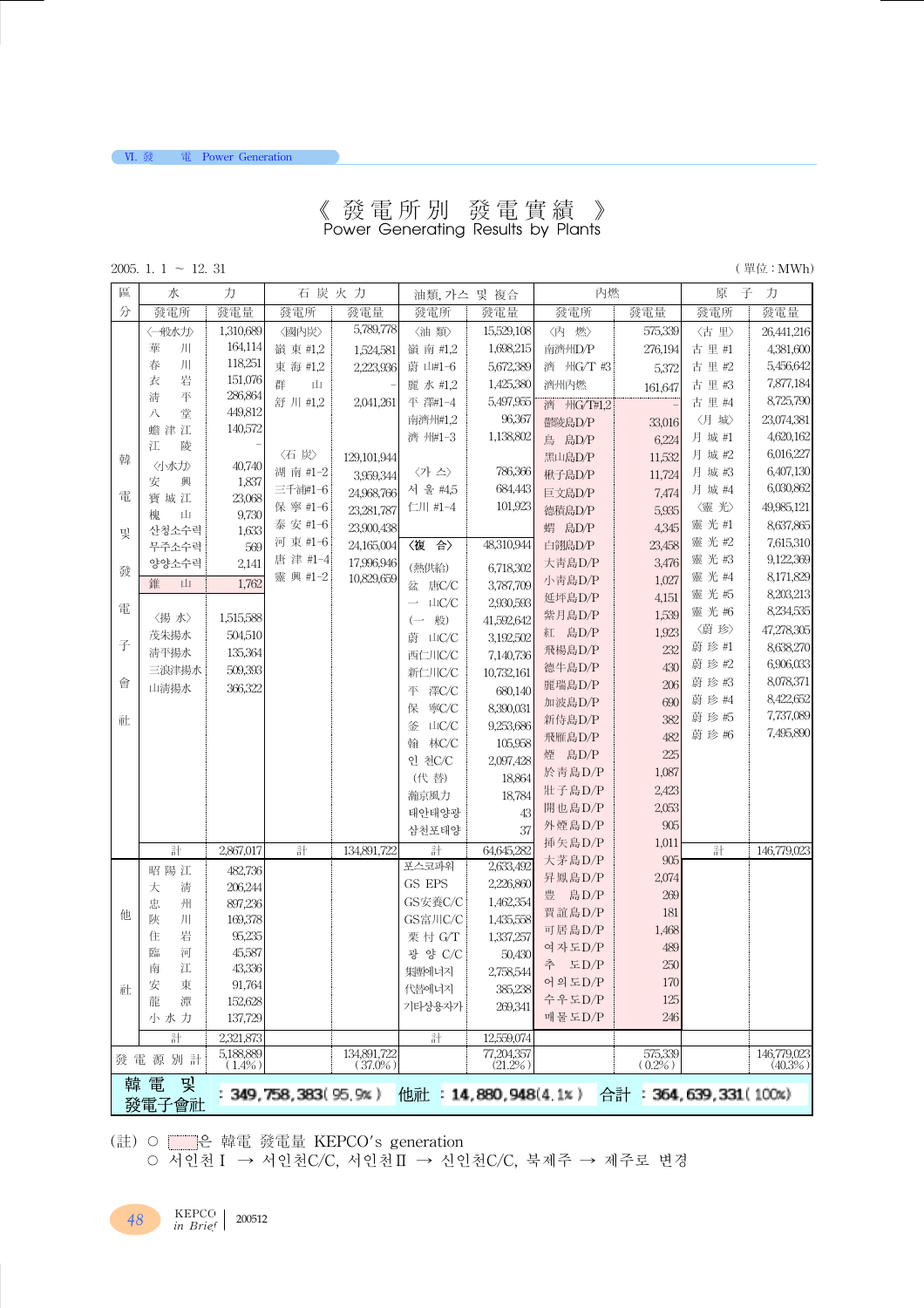#### 《 發電所別 發電實績 》 Power Generating Results by Plants

2005. 1. 1 ∼ 12. 31 (單位 : MWh)

**VI. 發電** Power Generation

| 區 | 水                 | 力                      | 石炭火力                   |                           | 油類, 가스 및 複合                                 |                          | 內燃         |                          | 原      | 子<br>力                |
|---|-------------------|------------------------|------------------------|---------------------------|---------------------------------------------|--------------------------|------------|--------------------------|--------|-----------------------|
| 分 | 發電所               | 發電量                    | 發電所                    | 發電量                       | 發電所                                         | 發電量                      | 發電所        | 發電量                      | 發電所    | 發電量                   |
|   | 〈一般水力〉            | 1,310,689              | 〈國內炭〉                  | 5,789,778                 | 《油 類》                                       | 15,529,108               | 〈內 燃〉      | 575,339                  | 〈古里〉   | 26,441,216            |
|   | 川<br>華            | 164,114                | 嶺 東 #1,2               | 1,524,581                 | 嶺 南 #1,2                                    | 1,698,215                | 南濟州D/P     | 276,194                  | 古里#1   | 4,381,600             |
|   | 川<br>春            | 118,251                | 東海 #1,2                | 2,223,936                 | 蔚 山#1-6                                     | 5,672,389                | 濟 州G/T #3  | 5,372                    | 古里#2   | 5,456,642             |
|   | 岩<br>衣            | 151,076                | 群<br>Ш                 |                           | 麗水#1,2                                      | 1,425,380                | 濟州內燃       | 161,647                  | 古里#3   | 7,877,184             |
|   | 淸<br>平            | 286,864                | 舒川#1,2                 | 2,041,261                 | 平 澤#1-4                                     | 5,497,955                | 濟 州G/T#1,2 |                          | 古里#4   | 8,725,790             |
|   | 堂<br>八            | 449,812                |                        |                           | 南濟州#1,2                                     | 96,367                   | 鬱陵島D/P     | 33,016                   | 〈月 城〉  | 23,074,381            |
|   | 蟾津江               | 140,572                |                        |                           | 濟 州#1-3                                     | 1,138,802                | 鳥 島D/P     | 6,224                    | 月 城 #1 | 4,620,162             |
| 韓 | 江<br>陵            |                        | 〈石炭〉                   | 129,101,944               |                                             |                          | 黑山島D/P     | 11,532                   | 月 城 #2 | 6,016,227             |
|   |                   | 40,740                 | 湖 南 #1-2               | 3,959,344                 | (가 스)                                       | 786,366                  | 楸子島D/P     | 11,724                   | 月 城 #3 | 6,407,130             |
| 電 | 安<br>興            | 1,837                  | 三千浦#1-6                | 24,968,766                | 서 울 #4,5                                    | 684,443                  | 巨文島D/P     | 7,474                    | 月 城 #4 | 6,030,862             |
|   | 寶城江<br>Щ<br>槐     | 23,068<br>9,730        | 保 寧 #1-6               | 23, 281, 787              | 仁川 #1-4                                     | 101,923                  | 德積島D/P     | 5,935                    | 〈靈光〉   | 49,985,121            |
|   | 산청소수력             | 1,633                  | 泰 安 #1-6               | 23,900,438                |                                             |                          | 蝟 島D/P     | 4,345                    | 靈光#1   | 8,637,865             |
| 및 | 무주소수력             | 569                    | 河 東 #1-6               | 24,165,004                | 〈複合〉                                        | 48,310,944               | 白翎島D/P     | 23,458                   | 靈光#2   | 7,615,310             |
|   | 양양소수력             | 2,141                  | 唐津#1-4                 | 17,996,946                | (熱供給)                                       |                          | 大青島D/P     | 3,476                    | 靈光#3   | 9,122,369             |
| 發 | 錐<br>Ш            | 1,762                  | 靈 興 #1-2               | 10,829,659                |                                             | 6,718,302                | 小青島D/P     | 1,027                    | 靈光#4   | 8,171,829             |
|   |                   |                        |                        |                           | 盆 唐C/C<br>LIC/C<br>$\overline{\phantom{0}}$ | 3,787,709<br>2,930,593   | 延坪島D/P     | 4,151                    | 靈光物    | 8,203,213             |
| 電 | 〈揚水〉              | 1,515,588              |                        |                           | 般)<br>$\left(\overline{\phantom{a}}\right)$ |                          | 紫月島D/P     | 1,539                    | 靈光#6   | 8,234,535             |
|   | 茂朱揚水              | 504,510                |                        |                           | 蔚<br>ШC/C                                   | 41,592,642<br>3,192,502  | 紅 島D/P     | 1,923                    | 〈蔚珍〉   | 47,278,305            |
| 子 | 清平揚水              | 135,364                |                        |                           | 西仁川C/C                                      | 7,140,736                | 飛楊島D/P     | 232                      | 蔚珍#1   | 8,638,270             |
|   | 三浪津揚水             | 509,393                |                        |                           | 新仁川C/C                                      | 10,732,161               | 德牛島D/P     | 430                      | 蔚 珍 #2 | 6,906,033             |
| 會 | 山清揚水              | 366,322                |                        |                           | 澤C/C<br>平                                   | 680,140                  | 麗瑞島D/P     | 206                      | 蔚珍#3   | 8,078,371             |
|   |                   |                        |                        |                           | 寧C/C<br>保                                   | 8,390,031                | 加波島D/P     | 690                      | 蔚珍#4   | 8,422,652             |
| 社 |                   |                        |                        |                           | 釜<br>山C/C                                   | 9,253,686                | 新侍島D/P     | 382                      | 蔚珍瓶    | 7,737,089             |
|   |                   |                        |                        |                           |                                             |                          | 飛雁島D/P     | 482                      | 蔚珍#6   | 7,495,890             |
|   |                   |                        |                        |                           | 林C/C<br>翰<br>인 천C/C                         | 105,958                  | 煙 島D/P     | 225                      |        |                       |
|   |                   |                        |                        |                           | (代替)                                        | 2,097,428<br>18,864      | 於青島D/P     | 1,087                    |        |                       |
|   |                   |                        |                        |                           | 瀚京風力                                        | 18,784                   | 壯子島D/P     | 2,423                    |        |                       |
|   |                   |                        |                        |                           | 태안태양광                                       | 43                       | 開也島D/P     | 2,053                    |        |                       |
|   |                   |                        |                        |                           | 삼천포태양                                       | 37                       | 外煙島D/P     | 905                      |        |                       |
|   |                   |                        |                        |                           |                                             |                          | 挿矢島D/P     | 1,011                    |        |                       |
|   | 計                 | 2,867,017              | 計                      | 134,891,722               | 計<br>포스코파워                                  | 64,645,282<br>2,633,492  | 大茅島D/P     | 905                      | 計      | 146,779,023           |
|   | 昭陽江               | 482,736                |                        |                           | GS EPS                                      | 2,226,860                | 昇鳳島D/P     | 2,074                    |        |                       |
|   | 大<br>清            | 206,244                |                        |                           | GS安養C/C                                     | 1,462,354                | 豊 島D/P     | 269                      |        |                       |
| 他 | 忠<br>州<br>陜       | 897,236                |                        |                           | GS富川C/C                                     | 1,435,558                | 賈誼島D/P     | 181                      |        |                       |
|   | Л<br>岩<br>住       | 169,378<br>95,235      |                        |                           | 栗 忖 G/T                                     | 1,337,257                | 可居島D/P     | 1,468                    |        |                       |
|   | 臨<br>河            | 45,587                 |                        |                           | 광 양 C/C                                     | 50,430                   | 여자도D/P     | 489                      |        |                       |
|   | 江<br>南            | 43,336                 |                        |                           | 集團에너지                                       | 2,758,544                | 추 도D/P     | 250                      |        |                       |
| 社 | 安<br>東            | 91,764                 |                        |                           | 代替에너지                                       | 385,238                  | 어의도D/P     | 170                      |        |                       |
|   | 潭<br>龍            | 152,628                |                        |                           | 기타상용자가                                      | 269,341                  | 수우도D/P     | 125                      |        |                       |
|   | 小水力               | 137,729                |                        |                           |                                             |                          | 매물도D/P     | 246                      |        |                       |
|   | 計                 | 2,321,873              |                        |                           | 計                                           | 12,559,074               |            |                          |        |                       |
|   | 發電源別計             | 5,188,889<br>$(1.4\%)$ |                        | 134,891,722<br>$(37.0\%)$ |                                             | 77,204,357<br>$(21.2\%)$ |            | 575,339<br>$(0.2\%)$     |        | 146,779,023<br>(40.3% |
|   | 韓 電<br>및<br>發電子會社 |                        | 349, 758, 383 (95, 9%) |                           |                                             | 他社: 14,880,948(4.1%)     |            | 合計: 364, 639, 331 (100%) |        |                       |

(註)○ ├─── 韓電 發電量 KEPCO's generation

○ 서인천Ⅰ → 서인천C/C, 서인천Ⅱ → 신인천C/C, 북제주 → 제주로 변경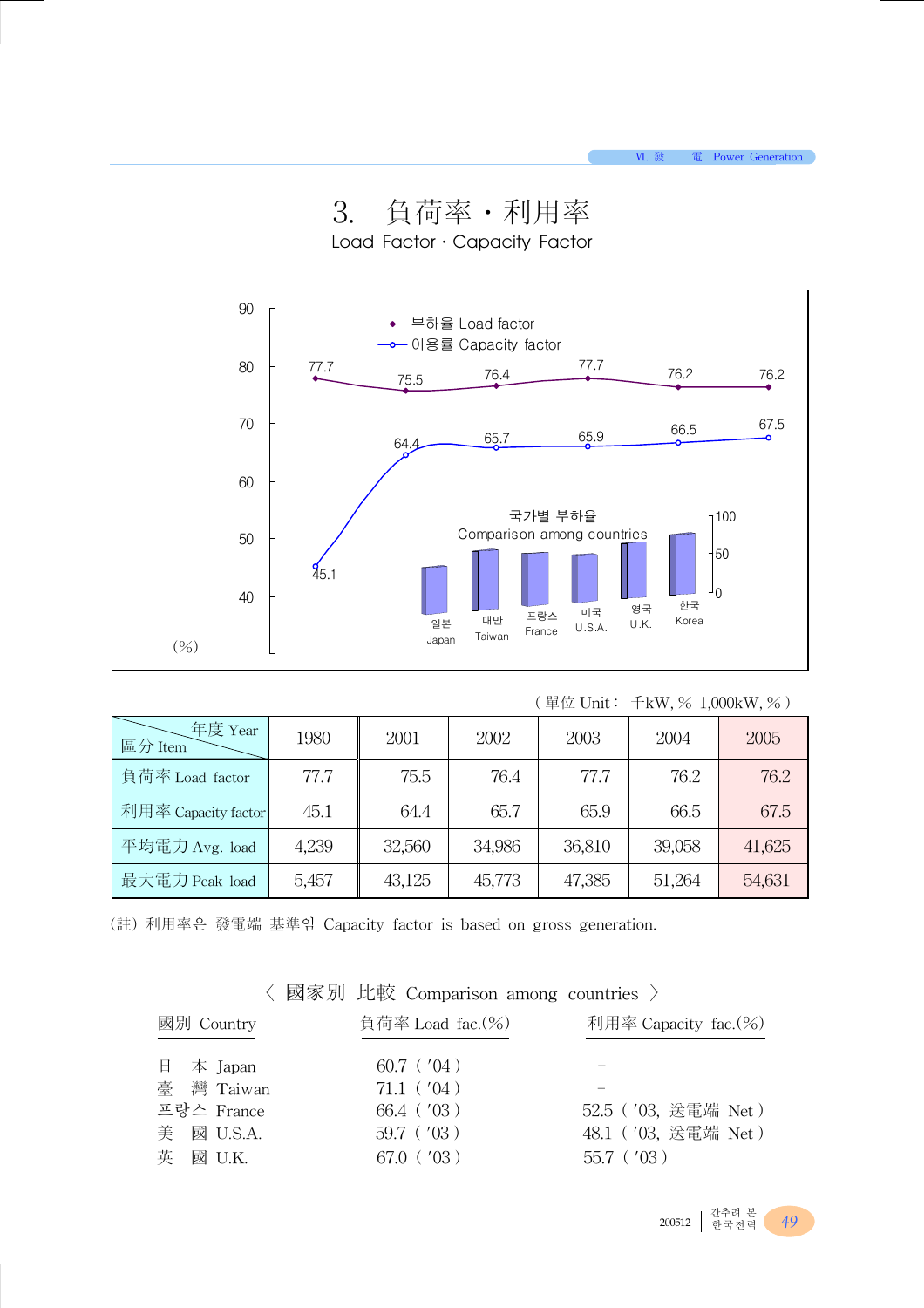3. 負荷率․利用率





| ( 單位 Unit:<br>$\pm$ kW, % 1,000kW, %) |  |  |
|---------------------------------------|--|--|
|---------------------------------------|--|--|

| 年度 Year<br>區分 Item  | 1980  | 2001   | 2002   | 2003   | 2004   | 2005   |
|---------------------|-------|--------|--------|--------|--------|--------|
| 負荷率 Load factor     | 77.7  | 75.5   | 76.4   | 77.7   | 76.2   | 76.2   |
| 利用率 Capacity factor | 45.1  | 64.4   | 65.7   | 65.9   | 66.5   | 67.5   |
| 平均電力 Avg. load      | 4,239 | 32,560 | 34,986 | 36,810 | 39,058 | 41,625 |
| 最大電力 Peak load      | 5,457 | 43,125 | 45,773 | 47,385 | 51,264 | 54,631 |

(註) 利用率은 發電端 基準임 Capacity factor is based on gross generation.

〈 國家別 比較 Comparison among countries 〉

| 國別 Country |            | 負荷率 Load fac. $(%$ ) | 利用率 Capacity fac.(%) |
|------------|------------|----------------------|----------------------|
|            | 日 本 Japan  | $60.7$ ( $'04$ )     |                      |
|            | 臺 灣 Taiwan | $71.1$ ( $'04$ )     |                      |
|            | 프랑스 France | $66.4$ ( $'03$ )     | 52.5 ('03, 送電端 Net)  |
|            | 美 國 U.S.A. | $59.7$ ( $'03$ )     | 48.1 ('03, 送電端 Net)  |
|            | 英 國 U.K.   | $67.0$ ( $'03$ )     | $55.7$ ( $'03$ )     |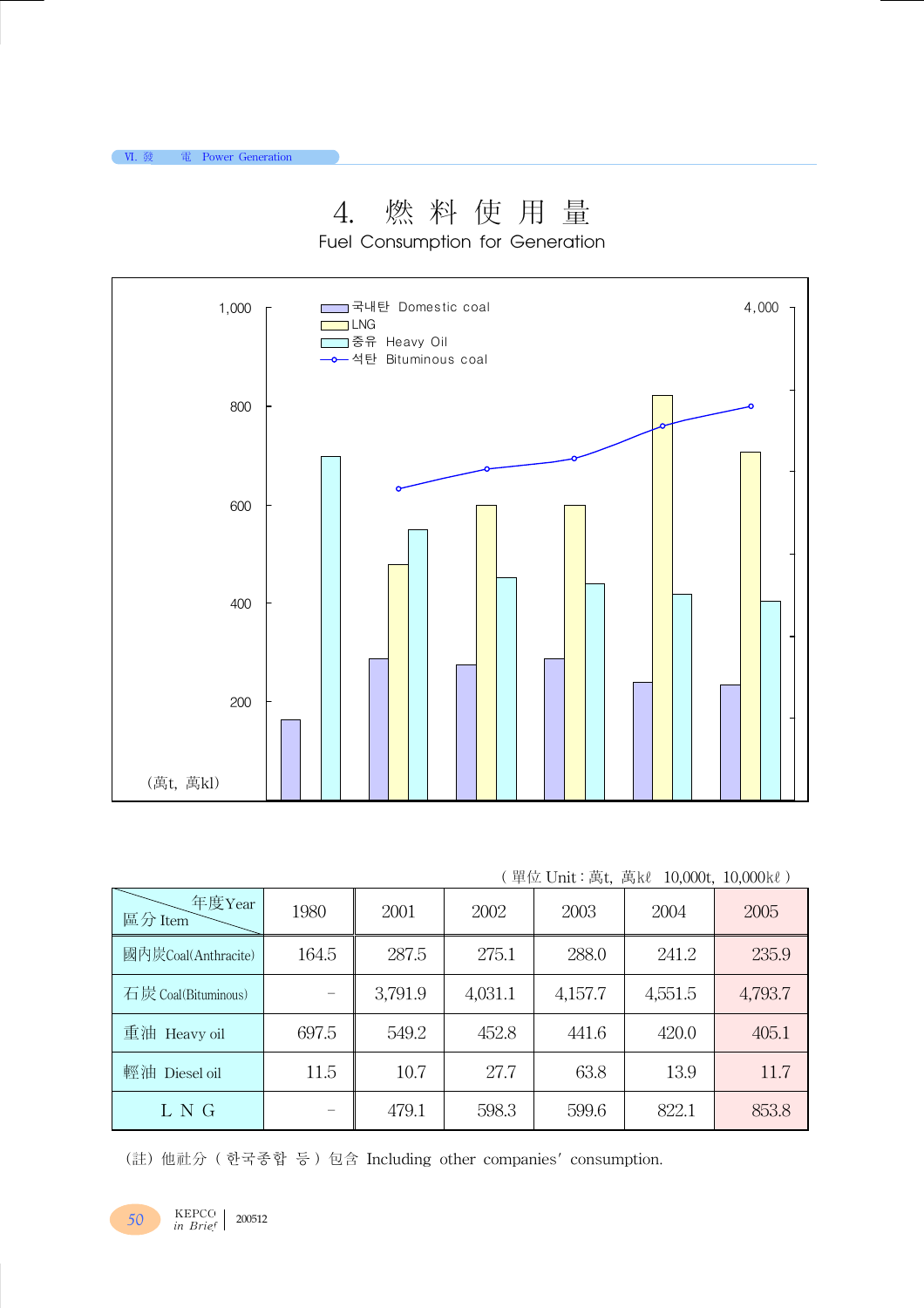# 4. 燃 料 使 用 量

Fuel Consumption for Generation



|  |  |  | ( 單位 Unit:萬t, 萬kl 10,000t, 10,000kl) |  |
|--|--|--|--------------------------------------|--|
|  |  |  |                                      |  |

| 年度Year<br>區分 Item   | 1980  | 2001    | 2002    | 2003    | 2004    | 2005    |
|---------------------|-------|---------|---------|---------|---------|---------|
| 國內炭Coal(Anthracite) | 164.5 | 287.5   | 275.1   | 288.0   | 241.2   | 235.9   |
| 石炭 Coal(Bituminous) |       | 3,791.9 | 4,031.1 | 4,157.7 | 4,551.5 | 4,793.7 |
| 重油<br>Heavy oil     | 697.5 | 549.2   | 452.8   | 441.6   | 420.0   | 405.1   |
| 輕油<br>Diesel oil    | 11.5  | 10.7    | 27.7    | 63.8    | 13.9    | 11.7    |
| L N G               |       | 479.1   | 598.3   | 599.6   | 822.1   | 853.8   |

(註) 他社分 ( 한국종합 등 ) 包含 Including other companies' consumption.

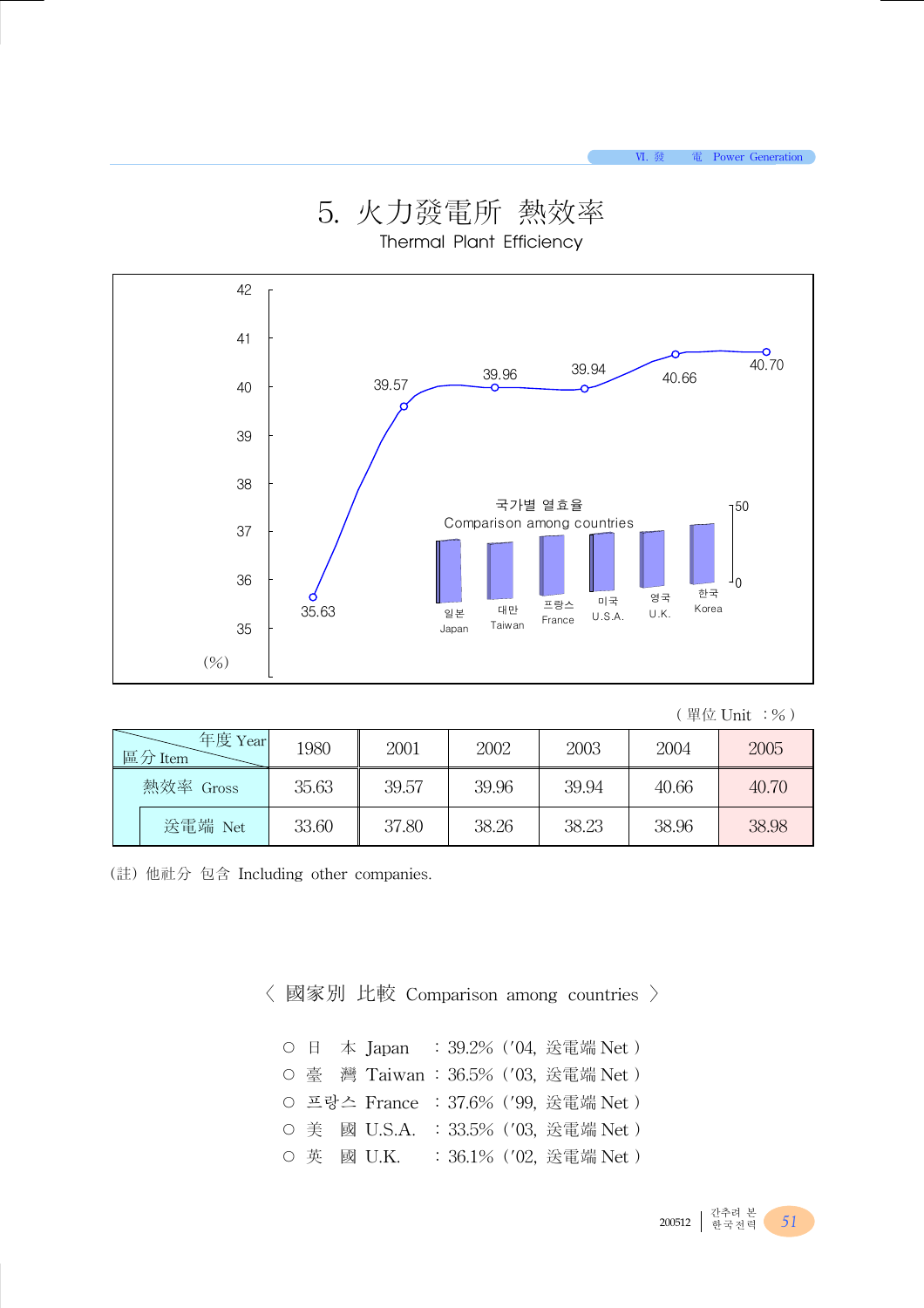

5. 火力發電所 熱效率 Thermal Plant Efficiency

#### ( 單位 Unit :%)

| 年度 Year<br>區分 Item |           | 1980  | 2001  | 2002  | 2003  | 2004  | 2005  |
|--------------------|-----------|-------|-------|-------|-------|-------|-------|
|                    | 熱效率 Gross | 35.63 | 39.57 | 39.96 | 39.94 | 40.66 | 40.70 |
|                    | 送電端 Net   | 33.60 | 37.80 | 38.26 | 38.23 | 38.96 | 38.98 |

(註) 他社分 包含 Including other companies.

〈 國家別 比較 Comparison among countries 〉

|  |  | O 日 本 Japan : 39.2% ('04, 送電端 Net)  |  |                        |  |
|--|--|-------------------------------------|--|------------------------|--|
|  |  | O 臺 灣 Taiwan: 36.5% ('03, 送電端 Net)  |  |                        |  |
|  |  | O 프랑스 France : 37.6% ('99, 送電端 Net) |  |                        |  |
|  |  | O 美 國 U.S.A. : 33.5% ('03, 送電端 Net) |  |                        |  |
|  |  | O 英 國 U.K.                          |  | : 36.1% ('02, 送電端 Net) |  |